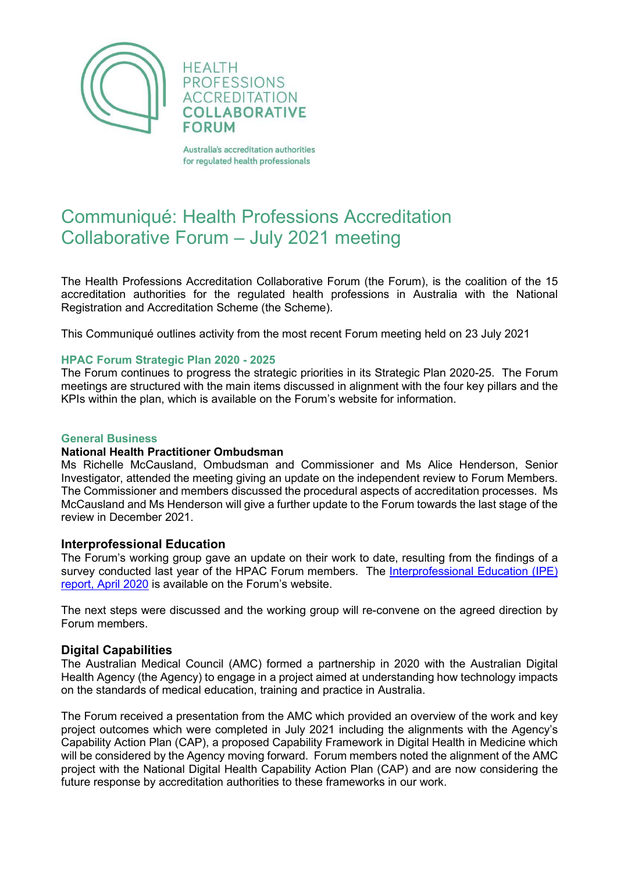

**HEALTH PROFESSIONS ACCREDITATION COLLABORATIVE FORUM** 

Australia's accreditation authorities for regulated health professionals

# Communiqué: Health Professions Accreditation Collaborative Forum – July 2021 meeting

The Health Professions Accreditation Collaborative Forum (the Forum), is the coalition of the 15 accreditation authorities for the regulated health professions in Australia with the National Registration and Accreditation Scheme (the Scheme).

This Communiqué outlines activity from the most recent Forum meeting held on 23 July 2021

## **HPAC Forum Strategic Plan 2020 - 2025**

The Forum continues to progress the strategic priorities in its Strategic Plan 2020-25. The Forum meetings are structured with the main items discussed in alignment with the four key pillars and the KPIs within the plan, which is available on the Forum's website for information.

## **General Business**

#### **National Health Practitioner Ombudsman**

Ms Richelle McCausland, Ombudsman and Commissioner and Ms Alice Henderson, Senior Investigator, attended the meeting giving an update on the independent review to Forum Members. The Commissioner and members discussed the procedural aspects of accreditation processes. Ms McCausland and Ms Henderson will give a further update to the Forum towards the last stage of the review in December 2021.

#### **Interprofessional Education**

The Forum's working group gave an update on their work to date, resulting from the findings of a survey conducted last year of the HPAC Forum members. The Interprofessional Education (IPE) [report, April 2020](http://hpacf.org.au/publications/) is available on the Forum's website.

The next steps were discussed and the working group will re-convene on the agreed direction by Forum members.

# **Digital Capabilities**

The Australian Medical Council (AMC) formed a partnership in 2020 with the Australian Digital Health Agency (the Agency) to engage in a project aimed at understanding how technology impacts on the standards of medical education, training and practice in Australia.

The Forum received a presentation from the AMC which provided an overview of the work and key project outcomes which were completed in July 2021 including the alignments with the Agency's Capability Action Plan (CAP), a proposed Capability Framework in Digital Health in Medicine which will be considered by the Agency moving forward. Forum members noted the alignment of the AMC project with the National Digital Health Capability Action Plan (CAP) and are now considering the future response by accreditation authorities to these frameworks in our work.